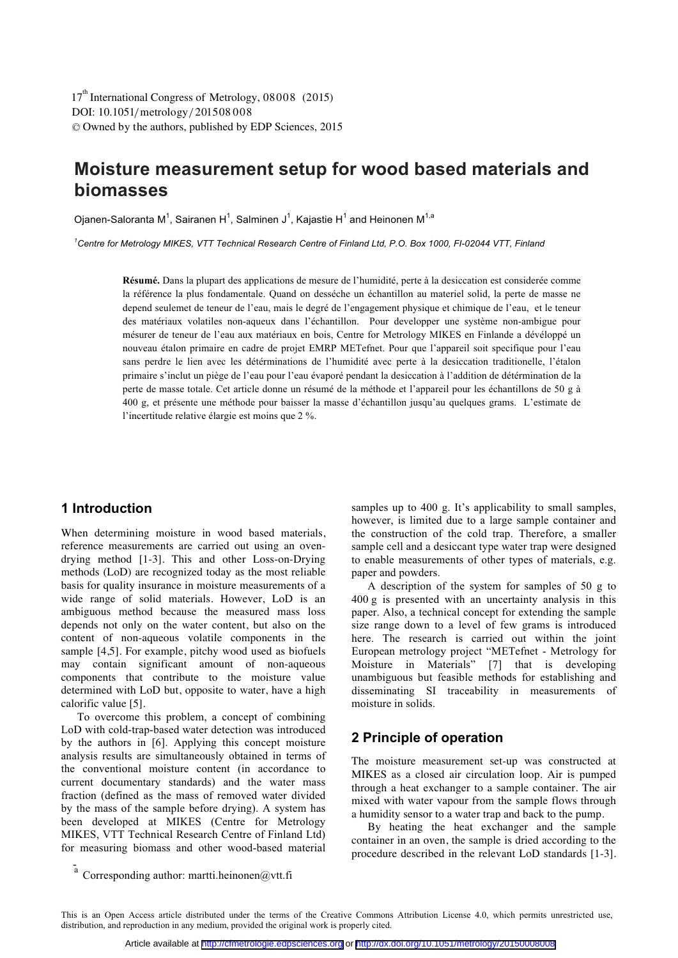DOI: 10.1051/metrology/201508008 -<sup>C</sup> Owned by the authors, published by EDP Sciences, 2015 17<sup>th</sup> International Congress of Metrology, 08008 (2015)

# **Moisture measurement setup for wood based materials and biomasses**

Oianen-Saloranta M<sup>1</sup>, Sairanen H<sup>1</sup>, Salminen J<sup>1</sup>, Kaiastie H<sup>1</sup> and Heinonen M<sup>1,a</sup>

<sup>1</sup> Centre for Metrology MIKES, VTT Technical Research Centre of Finland Ltd, P.O. Box 1000, FI-02044 VTT, Finland

**Résumé.** Dans la plupart des applications de mesure de l'humidité, perte à la desiccation est considerée comme la référence la plus fondamentale. Quand on desséche un échantillon au materiel solid, la perte de masse ne depend seulemet de teneur de l'eau, mais le degré de l'engagement physique et chimique de l'eau, et le teneur des matériaux volatiles non-aqueux dans l'échantillon. Pour developper une système non-ambigue pour mésurer de teneur de l'eau aux matériaux en bois, Centre for Metrology MIKES en Finlande a dévéloppé un nouveau étalon primaire en cadre de projet EMRP METefnet. Pour que l'appareil soit specifique pour l'eau sans perdre le lien avec les détérminations de l'humidité avec perte à la desiccation traditionelle, l'étalon primaire s'inclut un piège de l'eau pour l'eau évaporé pendant la desiccation à l'addition de détérmination de la perte de masse totale. Cet article donne un résumé de la méthode et l'appareil pour les échantillons de 50 g à 400 g, et présente une méthode pour baisser la masse d'échantillon jusqu'au quelques grams. L'estimate de l'incertitude relative élargie est moins que 2 %.

## **1 Introduction**

When determining moisture in wood based materials, reference measurements are carried out using an ovendrying method [1-3]. This and other Loss-on-Drying methods (LoD) are recognized today as the most reliable basis for quality insurance in moisture measurements of a wide range of solid materials. However, LoD is an ambiguous method because the measured mass loss depends not only on the water content, but also on the content of non-aqueous volatile components in the sample [4,5]. For example, pitchy wood used as biofuels may contain significant amount of non-aqueous components that contribute to the moisture value determined with LoD but, opposite to water, have a high calorific value [5].

To overcome this problem, a concept of combining LoD with cold-trap-based water detection was introduced by the authors in [6]. Applying this concept moisture analysis results are simultaneously obtained in terms of the conventional moisture content (in accordance to current documentary standards) and the water mass fraction (defined as the mass of removed water divided by the mass of the sample before drying). A system has been developed at MIKES (Centre for Metrology MIKES, VTT Technical Research Centre of Finland Ltd) for measuring biomass and other wood-based material

samples up to 400 g. It's applicability to small samples, however, is limited due to a large sample container and the construction of the cold trap. Therefore, a smaller sample cell and a desiccant type water trap were designed to enable measurements of other types of materials, e.g. paper and powders.

A description of the system for samples of 50 g to 400 g is presented with an uncertainty analysis in this paper. Also, a technical concept for extending the sample size range down to a level of few grams is introduced here. The research is carried out within the joint European metrology project "METefnet - Metrology for Moisture in Materials" [7] that is developing unambiguous but feasible methods for establishing and disseminating SI traceability in measurements of moisture in solids.

## **2 Principle of operation**

The moisture measurement set-up was constructed at MIKES as a closed air circulation loop. Air is pumped through a heat exchanger to a sample container. The air mixed with water vapour from the sample flows through a humidity sensor to a water trap and back to the pump.

By heating the heat exchanger and the sample container in an oven, the sample is dried according to the procedure described in the relevant LoD standards [1-3].

 $a$  Corresponding author: martti.heinonen@vtt.fi

This is an Open Access article distributed under the terms of the Creative Commons Attribution License 4.0, which permits unrestricted use, distribution, and reproduction in any medium, provided the original work is properly cited.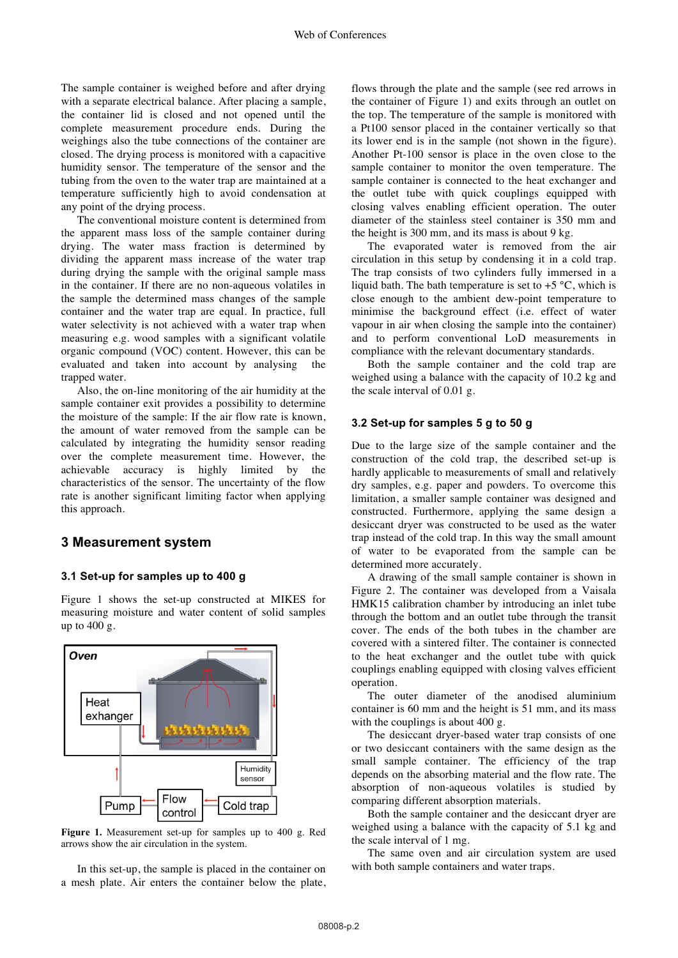The sample container is weighed before and after drying with a separate electrical balance. After placing a sample, the container lid is closed and not opened until the complete measurement procedure ends. During the weighings also the tube connections of the container are closed. The drying process is monitored with a capacitive humidity sensor. The temperature of the sensor and the tubing from the oven to the water trap are maintained at a temperature sufficiently high to avoid condensation at any point of the drying process.

The conventional moisture content is determined from the apparent mass loss of the sample container during drying. The water mass fraction is determined by dividing the apparent mass increase of the water trap during drying the sample with the original sample mass in the container. If there are no non-aqueous volatiles in the sample the determined mass changes of the sample container and the water trap are equal. In practice, full water selectivity is not achieved with a water trap when measuring e.g. wood samples with a significant volatile organic compound (VOC) content. However, this can be evaluated and taken into account by analysing the trapped water.

Also, the on-line monitoring of the air humidity at the sample container exit provides a possibility to determine the moisture of the sample: If the air flow rate is known, the amount of water removed from the sample can be calculated by integrating the humidity sensor reading over the complete measurement time. However, the achievable accuracy is highly limited by the characteristics of the sensor. The uncertainty of the flow rate is another significant limiting factor when applying this approach.

## **3 Measurement system**

#### **3.1 Set-up for samples up to 400 g**

Figure 1 shows the set-up constructed at MIKES for measuring moisture and water content of solid samples up to 400 g.



**Figure 1.** Measurement set-up for samples up to 400 g. Red arrows show the air circulation in the system.

In this set-up, the sample is placed in the container on a mesh plate. Air enters the container below the plate,

flows through the plate and the sample (see red arrows in the container of Figure 1) and exits through an outlet on the top. The temperature of the sample is monitored with a Pt100 sensor placed in the container vertically so that its lower end is in the sample (not shown in the figure). Another Pt-100 sensor is place in the oven close to the sample container to monitor the oven temperature. The sample container is connected to the heat exchanger and the outlet tube with quick couplings equipped with closing valves enabling efficient operation. The outer diameter of the stainless steel container is 350 mm and the height is 300 mm, and its mass is about 9 kg.

The evaporated water is removed from the air circulation in this setup by condensing it in a cold trap. The trap consists of two cylinders fully immersed in a liquid bath. The bath temperature is set to  $+5$  °C, which is close enough to the ambient dew-point temperature to minimise the background effect (i.e. effect of water vapour in air when closing the sample into the container) and to perform conventional LoD measurements in compliance with the relevant documentary standards.

Both the sample container and the cold trap are weighed using a balance with the capacity of 10.2 kg and the scale interval of 0.01 g.

#### **3.2 Set-up for samples 5 g to 50 g**

Due to the large size of the sample container and the construction of the cold trap, the described set-up is hardly applicable to measurements of small and relatively dry samples, e.g. paper and powders. To overcome this limitation, a smaller sample container was designed and constructed. Furthermore, applying the same design a desiccant dryer was constructed to be used as the water trap instead of the cold trap. In this way the small amount of water to be evaporated from the sample can be determined more accurately.

A drawing of the small sample container is shown in Figure 2. The container was developed from a Vaisala HMK15 calibration chamber by introducing an inlet tube through the bottom and an outlet tube through the transit cover. The ends of the both tubes in the chamber are covered with a sintered filter. The container is connected to the heat exchanger and the outlet tube with quick couplings enabling equipped with closing valves efficient operation.

The outer diameter of the anodised aluminium container is 60 mm and the height is 51 mm, and its mass with the couplings is about 400 g.

The desiccant dryer-based water trap consists of one or two desiccant containers with the same design as the small sample container. The efficiency of the trap depends on the absorbing material and the flow rate. The absorption of non-aqueous volatiles is studied by comparing different absorption materials.

Both the sample container and the desiccant dryer are weighed using a balance with the capacity of 5.1 kg and the scale interval of 1 mg.

The same oven and air circulation system are used with both sample containers and water traps.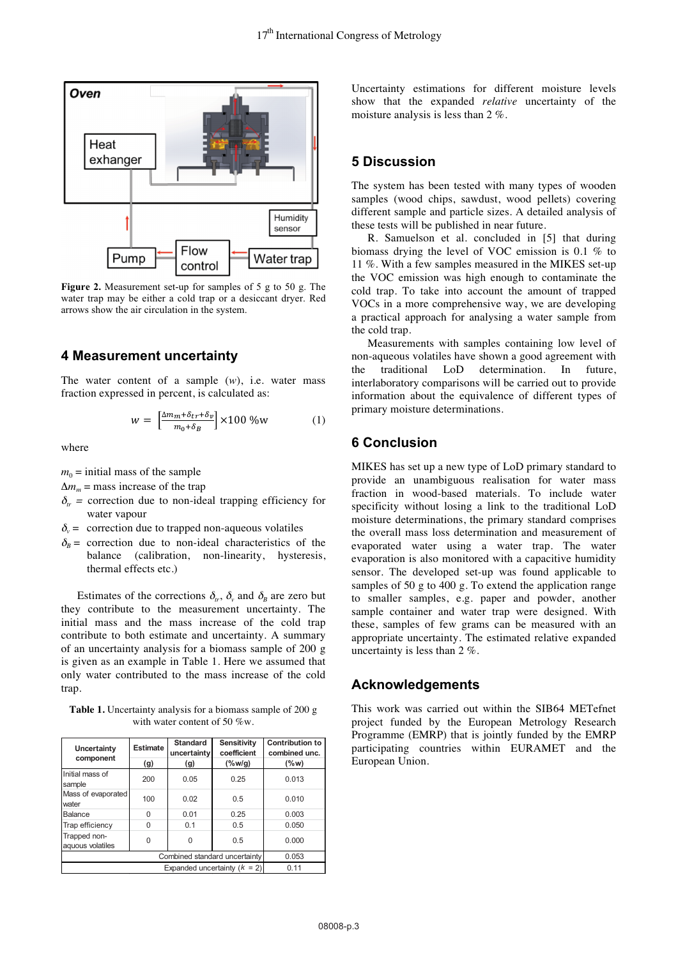

**Figure 2.** Measurement set-up for samples of 5 g to 50 g. The water trap may be either a cold trap or a desiccant dryer. Red arrows show the air circulation in the system.

#### **4 Measurement uncertainty**

The water content of a sample  $(w)$ , i.e. water mass fraction expressed in percent, is calculated as:

$$
w = \left[\frac{\Delta m_m + \delta_{tr} + \delta_v}{m_0 + \delta_B}\right] \times 100\,\% \text{w} \tag{1}
$$

where

 $m_0$  = initial mass of the sample

 $\Delta m_m$  = mass increase of the trap

- $\delta_{rr}$  = correction due to non-ideal trapping efficiency for water vapour
- $\delta_{\nu}$  = correction due to trapped non-aqueous volatiles
- $\delta<sub>B</sub>$  = correction due to non-ideal characteristics of the balance (calibration, non-linearity, hysteresis, thermal effects etc.)

Estimates of the corrections  $\delta_{tt}$ ,  $\delta_{v}$  and  $\delta_{B}$  are zero but they contribute to the measurement uncertainty. The initial mass and the mass increase of the cold trap contribute to both estimate and uncertainty. A summary of an uncertainty analysis for a biomass sample of 200 g is given as an example in Table 1. Here we assumed that only water contributed to the mass increase of the cold trap.

**Table 1.** Uncertainty analysis for a biomass sample of 200 g with water content of 50 %w.

| Uncertainty<br>component         | <b>Estimate</b><br>(g) | <b>Standard</b><br>uncertainty<br>(g) | <b>Sensitivity</b><br>coefficient<br>$(\%w/g)$ | Contribution to<br>combined unc.<br>$($ %w) |
|----------------------------------|------------------------|---------------------------------------|------------------------------------------------|---------------------------------------------|
| Initial mass of<br>sample        | 200                    | 0.05                                  | 0.25                                           | 0.013                                       |
| Mass of evaporated<br>water      | 100                    | 0.02                                  | 0.5                                            | 0.010                                       |
| Balance                          | $\Omega$               | 0.01                                  | 0.25                                           | 0.003                                       |
| Trap efficiency                  | $\Omega$               | 0.1                                   | 0.5                                            | 0.050                                       |
| Trapped non-<br>aquous volatiles | $\Omega$               | $\Omega$                              | 0.5                                            | 0.000                                       |
| Combined standard uncertainty    |                        |                                       |                                                | 0.053                                       |
| Expanded uncertainty $(k = 2)$   |                        |                                       |                                                | 0.11                                        |

Uncertainty estimations for different moisture levels show that the expanded *relative* uncertainty of the moisture analysis is less than 2 %.

## **5 Discussion**

The system has been tested with many types of wooden samples (wood chips, sawdust, wood pellets) covering different sample and particle sizes. A detailed analysis of these tests will be published in near future.

R. Samuelson et al. concluded in [5] that during biomass drying the level of VOC emission is 0.1 % to 11 %. With a few samples measured in the MIKES set-up the VOC emission was high enough to contaminate the cold trap. To take into account the amount of trapped VOCs in a more comprehensive way, we are developing a practical approach for analysing a water sample from the cold trap.

Measurements with samples containing low level of non-aqueous volatiles have shown a good agreement with the traditional LoD determination. In future, interlaboratory comparisons will be carried out to provide information about the equivalence of different types of primary moisture determinations.

### **6 Conclusion**

MIKES has set up a new type of LoD primary standard to provide an unambiguous realisation for water mass fraction in wood-based materials. To include water specificity without losing a link to the traditional LoD moisture determinations, the primary standard comprises the overall mass loss determination and measurement of evaporated water using a water trap. The water evaporation is also monitored with a capacitive humidity sensor. The developed set-up was found applicable to samples of 50 g to 400 g. To extend the application range to smaller samples, e.g. paper and powder, another sample container and water trap were designed. With these, samples of few grams can be measured with an appropriate uncertainty. The estimated relative expanded uncertainty is less than 2 %.

#### **Acknowledgements**

This work was carried out within the SIB64 METefnet project funded by the European Metrology Research Programme (EMRP) that is jointly funded by the EMRP participating countries within EURAMET and the European Union.